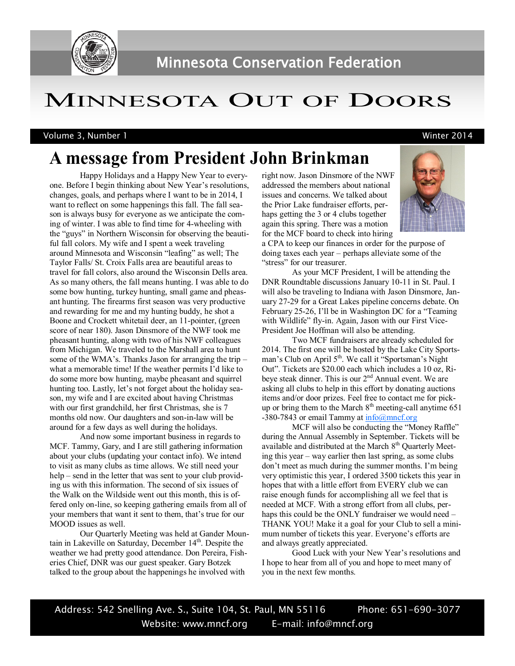

# MINNESOTA OUT OF DOORS

Volume 3, Number 1 Winter 2014

## **A message from President John Brinkman**

Happy Holidays and a Happy New Year to everyone. Before I begin thinking about New Year's resolutions, changes, goals, and perhaps where I want to be in 2014, I want to reflect on some happenings this fall. The fall season is always busy for everyone as we anticipate the coming of winter. I was able to find time for 4-wheeling with the "guys" in Northern Wisconsin for observing the beautiful fall colors. My wife and I spent a week traveling around Minnesota and Wisconsin "leafing" as well; The Taylor Falls/ St. Croix Falls area are beautiful areas to travel for fall colors, also around the Wisconsin Dells area. As so many others, the fall means hunting. I was able to do some bow hunting, turkey hunting, small game and pheasant hunting. The firearms first season was very productive and rewarding for me and my hunting buddy, he shot a Boone and Crockett whitetail deer, an 11-pointer, (green score of near 180). Jason Dinsmore of the NWF took me pheasant hunting, along with two of his NWF colleagues from Michigan. We traveled to the Marshall area to hunt some of the WMA's. Thanks Jason for arranging the trip – what a memorable time! If the weather permits I'd like to do some more bow hunting, maybe pheasant and squirrel hunting too. Lastly, let's not forget about the holiday season, my wife and I are excited about having Christmas with our first grandchild, her first Christmas, she is 7 months old now. Our daughters and son-in-law will be around for a few days as well during the holidays.

And now some important business in regards to MCF. Tammy, Gary, and I are still gathering information about your clubs (updating your contact info). We intend to visit as many clubs as time allows. We still need your help – send in the letter that was sent to your club providing us with this information. The second of six issues of the Walk on the Wildside went out this month, this is offered only on-line, so keeping gathering emails from all of your members that want it sent to them, that's true for our MOOD issues as well.

Our Quarterly Meeting was held at Gander Mountain in Lakeville on Saturday, December  $14<sup>th</sup>$ . Despite the weather we had pretty good attendance. Don Pereira, Fisheries Chief, DNR was our guest speaker. Gary Botzek talked to the group about the happenings he involved with

right now. Jason Dinsmore of the NWF addressed the members about national issues and concerns. We talked about the Prior Lake fundraiser efforts, perhaps getting the 3 or 4 clubs together again this spring. There was a motion for the MCF board to check into hiring



a CPA to keep our finances in order for the purpose of doing taxes each year – perhaps alleviate some of the "stress" for our treasurer.

As your MCF President, I will be attending the DNR Roundtable discussions January 10-11 in St. Paul. I will also be traveling to Indiana with Jason Dinsmore, January 27-29 for a Great Lakes pipeline concerns debate. On February 25-26, I'll be in Washington DC for a "Teaming with Wildlife" fly-in. Again, Jason with our First Vice-President Joe Hoffman will also be attending.

Two MCF fundraisers are already scheduled for 2014. The first one will be hosted by the Lake City Sportsman's Club on April 5<sup>th</sup>. We call it "Sportsman's Night" Out". Tickets are \$20.00 each which includes a 10 oz, Ribeye steak dinner. This is our 2<sup>nd</sup> Annual event. We are asking all clubs to help in this effort by donating auctions items and/or door prizes. Feel free to contact me for pickup or bring them to the March  $8<sup>th</sup>$  meeting-call anytime 651 -380-7843 or email Tammy at  $info@mncf.org$ 

MCF will also be conducting the "Money Raffle" during the Annual Assembly in September. Tickets will be available and distributed at the March 8<sup>th</sup> Quarterly Meeting this year – way earlier then last spring, as some clubs don't meet as much during the summer months. I'm being very optimistic this year, I ordered 3500 tickets this year in hopes that with a little effort from EVERY club we can raise enough funds for accomplishing all we feel that is needed at MCF. With a strong effort from all clubs, perhaps this could be the ONLY fundraiser we would need – THANK YOU! Make it a goal for your Club to sell a minimum number of tickets this year. Everyone's efforts are and always greatly appreciated.

Good Luck with your New Year's resolutions and I hope to hear from all of you and hope to meet many of you in the next few months.

Address: 542 Snelling Ave. S., Suite 104, St. Paul, MN 55116 Phone: 651-690-3077 Website: www.mncf.org E-mail: info@mncf.org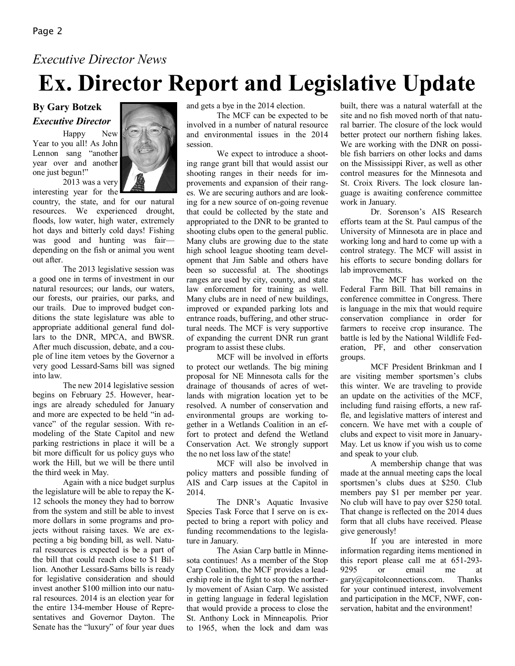### *Executive Director News*

# **Ex. Director Report and Legislative Update**

### **By Gary Botzek** *Executive Director*

Happy New Year to you all! As John Lennon sang "another year over and another one just begun!"



2013 was a very interesting year for the

country, the state, and for our natural resources. We experienced drought, floods, low water, high water, extremely hot days and bitterly cold days! Fishing was good and hunting was fair depending on the fish or animal you went out after.

The 2013 legislative session was a good one in terms of investment in our natural resources; our lands, our waters, our forests, our prairies, our parks, and our trails. Due to improved budget conditions the state legislature was able to appropriate additional general fund dollars to the DNR, MPCA, and BWSR. After much discussion, debate, and a couple of line item vetoes by the Governor a very good Lessard-Sams bill was signed into law.

The new 2014 legislative session begins on February 25. However, hearings are already scheduled for January and more are expected to be held "in advance" of the regular session. With remodeling of the State Capitol and new parking restrictions in place it will be a bit more difficult for us policy guys who work the Hill, but we will be there until the third week in May.

Again with a nice budget surplus the legislature will be able to repay the K-12 schools the money they had to borrow from the system and still be able to invest more dollars in some programs and projects without raising taxes. We are expecting a big bonding bill, as well. Natural resources is expected is be a part of the bill that could reach close to \$1 Billion. Another Lessard-Sams bills is ready for legislative consideration and should invest another \$100 million into our natural resources. 2014 is an election year for the entire 134-member House of Representatives and Governor Dayton. The Senate has the "luxury" of four year dues

and gets a bye in the 2014 election.

The MCF can be expected to be involved in a number of natural resource and environmental issues in the 2014 session.

We expect to introduce a shooting range grant bill that would assist our shooting ranges in their needs for improvements and expansion of their ranges. We are securing authors and are looking for a new source of on-going revenue that could be collected by the state and appropriated to the DNR to be granted to shooting clubs open to the general public. Many clubs are growing due to the state high school league shooting team development that Jim Sable and others have been so successful at. The shootings ranges are used by city, county, and state law enforcement for training as well. Many clubs are in need of new buildings, improved or expanded parking lots and entrance roads, buffering, and other structural needs. The MCF is very supportive of expanding the current DNR run grant program to assist these clubs.

MCF will be involved in efforts to protect our wetlands. The big mining proposal for NE Minnesota calls for the drainage of thousands of acres of wetlands with migration location yet to be resolved. A number of conservation and environmental groups are working together in a Wetlands Coalition in an effort to protect and defend the Wetland Conservation Act. We strongly support the no net loss law of the state!

MCF will also be involved in policy matters and possible funding of AIS and Carp issues at the Capitol in 2014.

The DNR's Aquatic Invasive Species Task Force that I serve on is expected to bring a report with policy and funding recommendations to the legislature in January.

The Asian Carp battle in Minnesota continues! As a member of the Stop Carp Coalition, the MCF provides a leadership role in the fight to stop the northerly movement of Asian Carp. We assisted in getting language in federal legislation that would provide a process to close the St. Anthony Lock in Minneapolis. Prior to 1965, when the lock and dam was

built, there was a natural waterfall at the site and no fish moved north of that natural barrier. The closure of the lock would better protect our northern fishing lakes. We are working with the DNR on possible fish barriers on other locks and dams on the Mississippi River, as well as other control measures for the Minnesota and St. Croix Rivers. The lock closure language is awaiting conference committee work in January.

Dr. Sorenson's AIS Research efforts team at the St. Paul campus of the University of Minnesota are in place and working long and hard to come up with a control strategy. The MCF will assist in his efforts to secure bonding dollars for lab improvements.

The MCF has worked on the Federal Farm Bill. That bill remains in conference committee in Congress. There is language in the mix that would require conservation compliance in order for farmers to receive crop insurance. The battle is led by the National Wildlife Federation, PF, and other conservation groups.

MCF President Brinkman and I are visiting member sportsmen's clubs this winter. We are traveling to provide an update on the activities of the MCF, including fund raising efforts, a new raffle, and legislative matters of interest and concern. We have met with a couple of clubs and expect to visit more in January-May. Let us know if you wish us to come and speak to your club.

A membership change that was made at the annual meeting caps the local sportsmen's clubs dues at \$250. Club members pay \$1 per member per year. No club will have to pay over \$250 total. That change is reflected on the 2014 dues form that all clubs have received. Please give generously!

If you are interested in more information regarding items mentioned in this report please call me at 651-293- 9295 or email me at gary@capitolconnections.com. Thanks for your continued interest, involvement and participation in the MCF, NWF, conservation, habitat and the environment!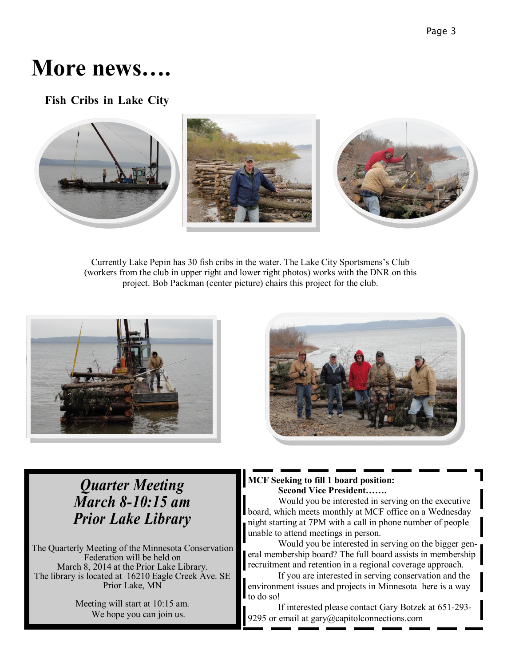# **More news….**

**Fish Cribs in Lake City**



Currently Lake Pepin has 30 fish cribs in the water. The Lake City Sportsmens's Club (workers from the club in upper right and lower right photos) works with the DNR on this project. Bob Packman (center picture) chairs this project for the club.





### *Quarter Meeting March 8-10:15 am Prior Lake Library*

The Quarterly Meeting of the Minnesota Conservation Federation will be held on March 8, 2014 at the Prior Lake Library. The library is located at 16210 Eagle Creek Ave. SE Prior Lake, MN

> Meeting will start at 10:15 am. We hope you can join us.

#### **MCF Seeking to fill 1 board position: Second Vice President…….**

Would you be interested in serving on the executive board, which meets monthly at MCF office on a Wednesday night starting at 7PM with a call in phone number of people unable to attend meetings in person.

Would you be interested in serving on the bigger general membership board? The full board assists in membership recruitment and retention in a regional coverage approach.

If you are interested in serving conservation and the environment issues and projects in Minnesota here is a way to do so!

If interested please contact Gary Botzek at 651-293- 9295 or email at gary@capitolconnections.com